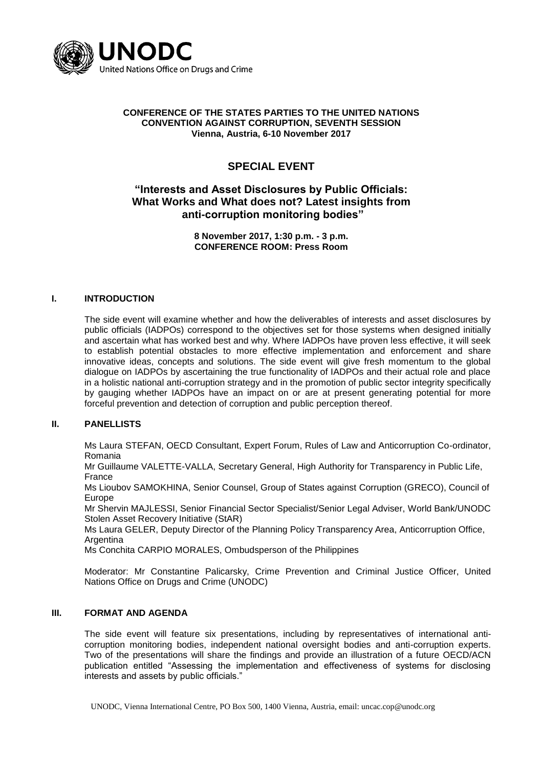

#### **CONFERENCE OF THE STATES PARTIES TO THE UNITED NATIONS CONVENTION AGAINST CORRUPTION, SEVENTH SESSION Vienna, Austria, 6-10 November 2017**

# **SPECIAL EVENT**

## **"Interests and Asset Disclosures by Public Officials: What Works and What does not? Latest insights from anti-corruption monitoring bodies"**

**8 November 2017, 1:30 p.m. - 3 p.m. CONFERENCE ROOM: Press Room**

#### **I. INTRODUCTION**

The side event will examine whether and how the deliverables of interests and asset disclosures by public officials (IADPOs) correspond to the objectives set for those systems when designed initially and ascertain what has worked best and why. Where IADPOs have proven less effective, it will seek to establish potential obstacles to more effective implementation and enforcement and share innovative ideas, concepts and solutions. The side event will give fresh momentum to the global dialogue on IADPOs by ascertaining the true functionality of IADPOs and their actual role and place in a holistic national anti-corruption strategy and in the promotion of public sector integrity specifically by gauging whether IADPOs have an impact on or are at present generating potential for more forceful prevention and detection of corruption and public perception thereof.

### **II. PANELLISTS**

Ms Laura STEFAN, OECD Consultant, Expert Forum, Rules of Law and Anticorruption Co-ordinator, Romania

Mr Guillaume VALETTE-VALLA, Secretary General, High Authority for Transparency in Public Life, France

Ms Lioubov SAMOKHINA, Senior Counsel, Group of States against Corruption (GRECO), Council of Europe

Mr Shervin MAJLESSI, Senior Financial Sector Specialist/Senior Legal Adviser, World Bank/UNODC Stolen Asset Recovery Initiative (StAR)

Ms Laura GELER, Deputy Director of the Planning Policy Transparency Area, Anticorruption Office, **Argentina** 

Ms Conchita CARPIO MORALES, Ombudsperson of the Philippines

Moderator: Mr Constantine Palicarsky, Crime Prevention and Criminal Justice Officer, United Nations Office on Drugs and Crime (UNODC)

### **III. FORMAT AND AGENDA**

The side event will feature six presentations, including by representatives of international anticorruption monitoring bodies, independent national oversight bodies and anti-corruption experts. Two of the presentations will share the findings and provide an illustration of a future OECD/ACN publication entitled "Assessing the implementation and effectiveness of systems for disclosing interests and assets by public officials."